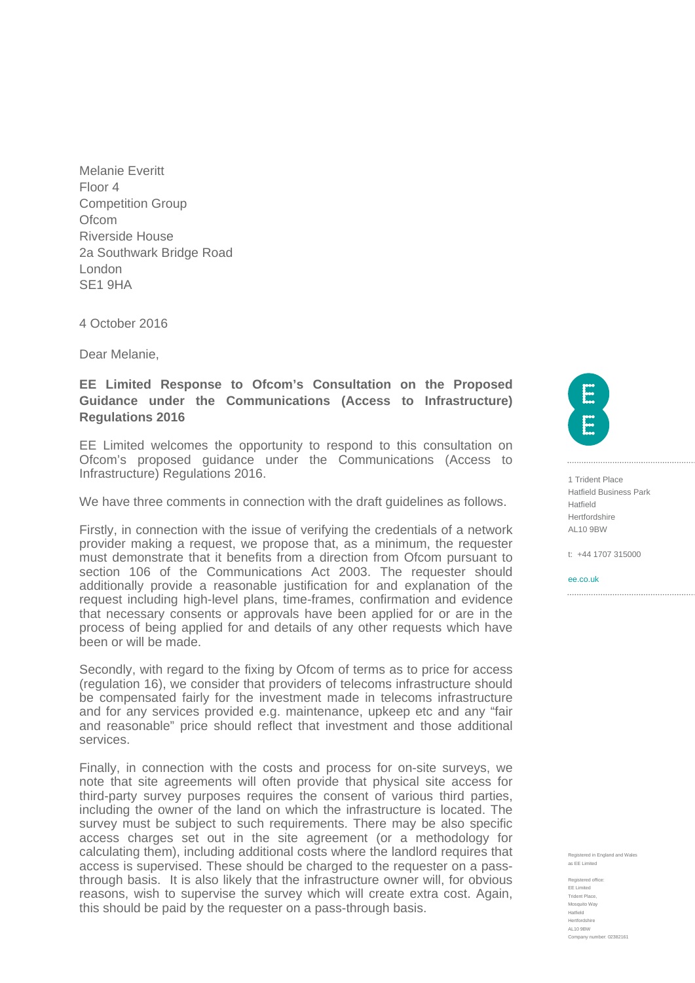Melanie Everitt Floor 4 Competition Group **Ofcom** Riverside House 2a Southwark Bridge Road London SE1 9HA

4 October 2016

Dear Melanie,

## **EE Limited Response to Ofcom's Consultation on the Proposed Guidance under the Communications (Access to Infrastructure) Regulations 2016**

EE Limited welcomes the opportunity to respond to this consultation on Ofcom's proposed guidance under the Communications (Access to Infrastructure) Regulations 2016.

We have three comments in connection with the draft guidelines as follows.

Firstly, in connection with the issue of verifying the credentials of a network provider making a request, we propose that, as a minimum, the requester must demonstrate that it benefits from a direction from Ofcom pursuant to section 106 of the Communications Act 2003. The requester should additionally provide a reasonable justification for and explanation of the request including high-level plans, time-frames, confirmation and evidence that necessary consents or approvals have been applied for or are in the process of being applied for and details of any other requests which have been or will be made.

Secondly, with regard to the fixing by Ofcom of terms as to price for access (regulation 16), we consider that providers of telecoms infrastructure should be compensated fairly for the investment made in telecoms infrastructure and for any services provided e.g. maintenance, upkeep etc and any "fair and reasonable" price should reflect that investment and those additional services.

Finally, in connection with the costs and process for on-site surveys, we note that site agreements will often provide that physical site access for third-party survey purposes requires the consent of various third parties, including the owner of the land on which the infrastructure is located. The survey must be subject to such requirements. There may be also specific access charges set out in the site agreement (or a methodology for calculating them), including additional costs where the landlord requires that access is supervised. These should be charged to the requester on a passthrough basis. It is also likely that the infrastructure owner will, for obvious reasons, wish to supervise the survey which will create extra cost. Again, this should be paid by the requester on a pass-through basis.

1 Trident Place Hatfield Business Park Hatfield Hertfordshire  $\Delta$ L10 9BW

t: +44 1707 315000

ee.co.uk

red in England and Wal as EE Limited

Registered office: EE Limited Trident Place, Mosquito Way Hatfield Hertfordshire AL10 9BW Company number: 02382161